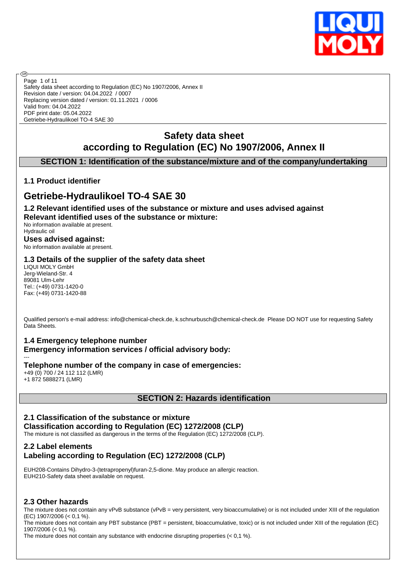

Safety data sheet according to Regulation (EC) No 1907/2006, Annex II Revision date / version: 04.04.2022 / 0007 Replacing version dated / version: 01.11.2021 / 0006 Valid from: 04.04.2022 PDF print date: 05.04.2022 Getriebe-Hydraulikoel TO-4 SAE 30 Page 1 of 11

# **Safety data sheet according to Regulation (EC) No 1907/2006, Annex II**

# **SECTION 1: Identification of the substance/mixture and of the company/undertaking**

## **1.1 Product identifier**

൹

# **Getriebe-Hydraulikoel TO-4 SAE 30**

#### **1.2 Relevant identified uses of the substance or mixture and uses advised against Relevant identified uses of the substance or mixture:**

No information available at present. Hydraulic oil

**Uses advised against:** No information available at present.

#### **1.3 Details of the supplier of the safety data sheet**

LIQUI MOLY GmbH Jerg-Wieland-Str. 4 89081 Ulm-Lehr Tel.: (+49) 0731-1420-0 Fax: (+49) 0731-1420-88

Qualified person's e-mail address: info@chemical-check.de, k.schnurbusch@chemical-check.de Please DO NOT use for requesting Safety Data Sheets.

# **1.4 Emergency telephone number**

**Emergency information services / official advisory body:**

--- **Telephone number of the company in case of emergencies:** +49 (0) 700 / 24 112 112 (LMR)

+1 872 5888271 (LMR)

#### **SECTION 2: Hazards identification**

# **2.1 Classification of the substance or mixture Classification according to Regulation (EC) 1272/2008 (CLP)**

The mixture is not classified as dangerous in the terms of the Regulation (EC) 1272/2008 (CLP).

## **2.2 Label elements Labeling according to Regulation (EC) 1272/2008 (CLP)**

EUH208-Contains Dihydro-3-(tetrapropenyl)furan-2,5-dione. May produce an allergic reaction. EUH210-Safety data sheet available on request.

#### **2.3 Other hazards**

The mixture does not contain any vPvB substance (vPvB = very persistent, very bioaccumulative) or is not included under XIII of the regulation (EC) 1907/2006 (< 0,1 %).

The mixture does not contain any PBT substance (PBT = persistent, bioaccumulative, toxic) or is not included under XIII of the regulation (EC) 1907/2006 (< 0,1 %).

The mixture does not contain any substance with endocrine disrupting properties  $( $0.1\%$ ).$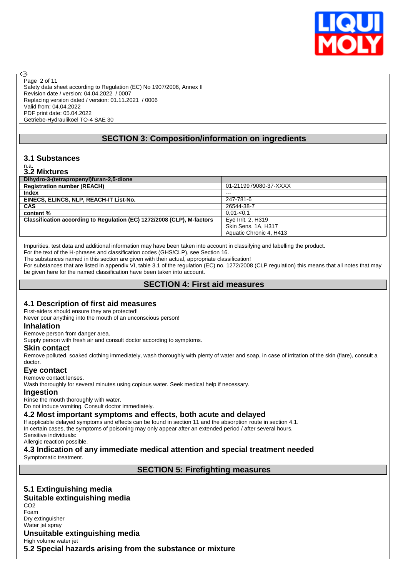

Safety data sheet according to Regulation (EC) No 1907/2006, Annex II Revision date / version: 04.04.2022 / 0007 Replacing version dated / version: 01.11.2021 / 0006 Valid from: 04.04.2022 PDF print date: 05.04.2022 Getriebe-Hydraulikoel TO-4 SAE 30 Page 2 of 11

#### **SECTION 3: Composition/information on ingredients**

#### **3.1 Substances**

# n.a. **3.2 Mixtures**

അ

| <u> 9.4 III.NUI 99</u>                                                 |                         |
|------------------------------------------------------------------------|-------------------------|
| Dihydro-3-(tetrapropenyl)furan-2,5-dione                               |                         |
| <b>Registration number (REACH)</b>                                     | 01-2119979080-37-XXXX   |
| Index                                                                  | $- - -$                 |
| EINECS, ELINCS, NLP, REACH-IT List-No.                                 | 247-781-6               |
| <b>CAS</b>                                                             | 26544-38-7              |
| content %                                                              | $0.01 - 0.1$            |
| Classification according to Regulation (EC) 1272/2008 (CLP), M-factors | Eye Irrit. 2, H319      |
|                                                                        | Skin Sens. 1A, H317     |
|                                                                        | Aquatic Chronic 4, H413 |

Impurities, test data and additional information may have been taken into account in classifying and labelling the product. For the text of the H-phrases and classification codes (GHS/CLP), see Section 16.

The substances named in this section are given with their actual, appropriate classification!

For substances that are listed in appendix VI, table 3.1 of the regulation (EC) no. 1272/2008 (CLP regulation) this means that all notes that may be given here for the named classification have been taken into account.

## **SECTION 4: First aid measures**

#### **4.1 Description of first aid measures**

First-aiders should ensure they are protected!

Never pour anything into the mouth of an unconscious person!

#### **Inhalation**

Remove person from danger area.

Supply person with fresh air and consult doctor according to symptoms.

#### **Skin contact**

Remove polluted, soaked clothing immediately, wash thoroughly with plenty of water and soap, in case of irritation of the skin (flare), consult a doctor.

#### **Eye contact**

Remove contact lenses.

Wash thoroughly for several minutes using copious water. Seek medical help if necessary.

#### **Ingestion**

Rinse the mouth thoroughly with water.

Do not induce vomiting. Consult doctor immediately.

#### **4.2 Most important symptoms and effects, both acute and delayed**

If applicable delayed symptoms and effects can be found in section 11 and the absorption route in section 4.1. In certain cases, the symptoms of poisoning may only appear after an extended period / after several hours.

Sensitive individuals:

Allergic reaction possible.

# **4.3 Indication of any immediate medical attention and special treatment needed**

Symptomatic treatment.

**SECTION 5: Firefighting measures**

#### **5.1 Extinguishing media Suitable extinguishing media** CO2 Foam Dry extinguisher Water jet spray **Unsuitable extinguishing media** High volume water jet **5.2 Special hazards arising from the substance or mixture**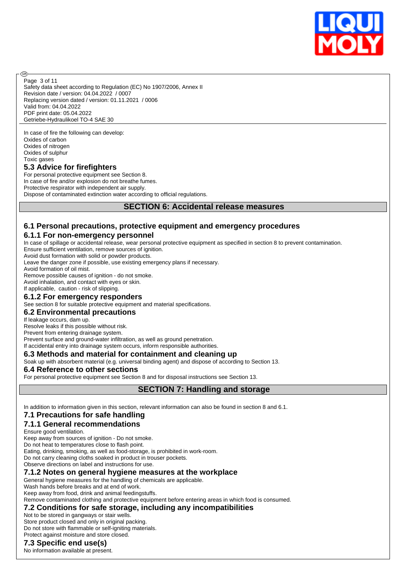

Page 3 of 11

അ

Safety data sheet according to Regulation (EC) No 1907/2006, Annex II Revision date / version: 04.04.2022 / 0007 Replacing version dated / version: 01.11.2021 / 0006 Valid from: 04.04.2022 PDF print date: 05.04.2022 Getriebe-Hydraulikoel TO-4 SAE 30

In case of fire the following can develop: Oxides of carbon Oxides of nitrogen Oxides of sulphur Toxic gases

#### **5.3 Advice for firefighters**

For personal protective equipment see Section 8. In case of fire and/or explosion do not breathe fumes. Protective respirator with independent air supply. Dispose of contaminated extinction water according to official regulations.

#### **SECTION 6: Accidental release measures**

#### **6.1 Personal precautions, protective equipment and emergency procedures**

#### **6.1.1 For non-emergency personnel**

In case of spillage or accidental release, wear personal protective equipment as specified in section 8 to prevent contamination.

Ensure sufficient ventilation, remove sources of ignition.

Avoid dust formation with solid or powder products.

Leave the danger zone if possible, use existing emergency plans if necessary.

Avoid formation of oil mist.

Remove possible causes of ignition - do not smoke.

Avoid inhalation, and contact with eyes or skin.

If applicable, caution - risk of slipping.

#### **6.1.2 For emergency responders**

See section 8 for suitable protective equipment and material specifications.

#### **6.2 Environmental precautions**

#### If leakage occurs, dam up.

Resolve leaks if this possible without risk.

Prevent from entering drainage system.

Prevent surface and ground-water infiltration, as well as ground penetration.

# If accidental entry into drainage system occurs, inform responsible authorities.

**6.3 Methods and material for containment and cleaning up**

Soak up with absorbent material (e.g. universal binding agent) and dispose of according to Section 13.

#### **6.4 Reference to other sections**

For personal protective equipment see Section 8 and for disposal instructions see Section 13.

#### **SECTION 7: Handling and storage**

In addition to information given in this section, relevant information can also be found in section 8 and 6.1.

#### **7.1 Precautions for safe handling**

#### **7.1.1 General recommendations**

Ensure good ventilation.

Keep away from sources of ignition - Do not smoke.

Do not heat to temperatures close to flash point.

Eating, drinking, smoking, as well as food-storage, is prohibited in work-room.

Do not carry cleaning cloths soaked in product in trouser pockets.

Observe directions on label and instructions for use.

#### **7.1.2 Notes on general hygiene measures at the workplace**

General hygiene measures for the handling of chemicals are applicable.

Wash hands before breaks and at end of work.

Keep away from food, drink and animal feedingstuffs.

Remove contaminated clothing and protective equipment before entering areas in which food is consumed.

#### **7.2 Conditions for safe storage, including any incompatibilities**

#### Not to be stored in gangways or stair wells.

Store product closed and only in original packing. Do not store with flammable or self-igniting materials.

Protect against moisture and store closed.

#### **7.3 Specific end use(s)**

No information available at present.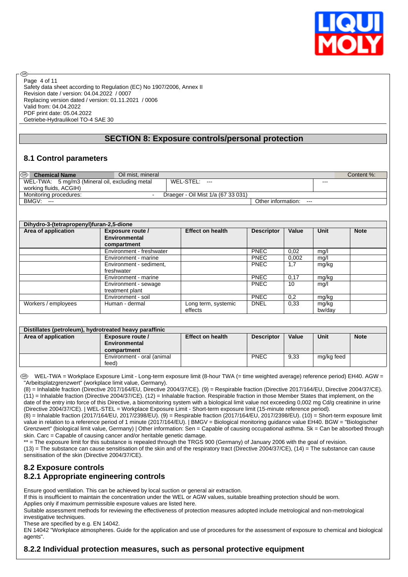

Safety data sheet according to Regulation (EC) No 1907/2006, Annex II Revision date / version: 04.04.2022 / 0007 Replacing version dated / version: 01.11.2021 / 0006 Valid from: 04.04.2022 PDF print date: 05.04.2022 Getriebe-Hydraulikoel TO-4 SAE 30 Page 4 of 11

#### **SECTION 8: Exposure controls/personal protection**

#### **8.1 Control parameters**

രി

| $\circledcirc$<br><b>Chemical Name</b>         | Oil mist, mineral |                                    |                             |       | Content %: |
|------------------------------------------------|-------------------|------------------------------------|-----------------------------|-------|------------|
| WEL-TWA: 5 mg/m3 (Mineral oil, excluding metal |                   | WEL-STEL: ---                      |                             | $---$ |            |
| working fluids, ACGIH)                         |                   |                                    |                             |       |            |
| Monitoring procedures:                         | -                 | Draeger - Oil Mist 1/a (67 33 031) |                             |       |            |
| BMGV:<br>$---$                                 |                   |                                    | Other information:<br>$---$ |       |            |

| Dihydro-3-(tetrapropenyl)furan-2,5-dione |                          |                         |                   |       |        |             |
|------------------------------------------|--------------------------|-------------------------|-------------------|-------|--------|-------------|
| Area of application                      | Exposure route /         | <b>Effect on health</b> | <b>Descriptor</b> | Value | Unit   | <b>Note</b> |
|                                          | Environmental            |                         |                   |       |        |             |
|                                          | compartment              |                         |                   |       |        |             |
|                                          | Environment - freshwater |                         | <b>PNEC</b>       | 0,02  | mg/l   |             |
|                                          | Environment - marine     |                         | <b>PNEC</b>       | 0.002 | mg/l   |             |
|                                          | Environment - sediment,  |                         | <b>PNEC</b>       | 1,7   | mg/kg  |             |
|                                          | freshwater               |                         |                   |       |        |             |
|                                          | Environment - marine     |                         | <b>PNEC</b>       | 0.17  | mg/kg  |             |
|                                          | Environment - sewage     |                         | <b>PNEC</b>       | 10    | mg/l   |             |
|                                          | treatment plant          |                         |                   |       |        |             |
|                                          | Environment - soil       |                         | <b>PNEC</b>       | 0,2   | mg/kg  |             |
| Workers / employees                      | Human - dermal           | Long term, systemic     | <b>DNEL</b>       | 0.33  | mg/kg  |             |
|                                          |                          | effects                 |                   |       | bw/day |             |

| Distillates (petroleum), hydrotreated heavy paraffinic |                            |                         |                   |       |            |             |
|--------------------------------------------------------|----------------------------|-------------------------|-------------------|-------|------------|-------------|
| Area of application                                    | Exposure route /           | <b>Effect on health</b> | <b>Descriptor</b> | Value | Unit       | <b>Note</b> |
|                                                        | Environmental              |                         |                   |       |            |             |
|                                                        | compartment                |                         |                   |       |            |             |
|                                                        | Environment - oral (animal |                         | <b>PNEC</b>       | 9,33  | mg/kg feed |             |
|                                                        | feed)                      |                         |                   |       |            |             |

 WEL-TWA = Workplace Exposure Limit - Long-term exposure limit (8-hour TWA (= time weighted average) reference period) EH40. AGW = "Arbeitsplatzgrenzwert" (workplace limit value, Germany).

(8) = Inhalable fraction (Directive 2017/164/EU, Directive 2004/37/CE). (9) = Respirable fraction (Directive 2017/164/EU, Directive 2004/37/CE). (11) = Inhalable fraction (Directive 2004/37/CE). (12) = Inhalable fraction. Respirable fraction in those Member States that implement, on the date of the entry into force of this Directive, a biomonitoring system with a biological limit value not exceeding 0,002 mg Cd/g creatinine in urine (Directive 2004/37/CE). | WEL-STEL = Workplace Exposure Limit - Short-term exposure limit (15-minute reference period).

(8) = Inhalable fraction (2017/164/EU, 2017/2398/EU). (9) = Respirable fraction (2017/164/EU, 2017/2398/EU). (10) = Short-term exposure limit value in relation to a reference period of 1 minute (2017/164/EU). | BMGV = Biological monitoring guidance value EH40. BGW = "Biologischer Grenzwert" (biological limit value, Germany) | Other information: Sen = Capable of causing occupational asthma. Sk = Can be absorbed through skin. Carc = Capable of causing cancer and/or heritable genetic damage.

\*\* = The exposure limit for this substance is repealed through the TRGS 900 (Germany) of January 2006 with the goal of revision.

 $(13)$  = The substance can cause sensitisation of the skin and of the respiratory tract (Directive 2004/37/CE),  $(14)$  = The substance can cause sensitisation of the skin (Directive 2004/37/CE).

# **8.2 Exposure controls 8.2.1 Appropriate engineering controls**

Ensure good ventilation. This can be achieved by local suction or general air extraction.

If this is insufficient to maintain the concentration under the WEL or AGW values, suitable breathing protection should be worn.

Applies only if maximum permissible exposure values are listed here.

Suitable assessment methods for reviewing the effectiveness of protection measures adopted include metrological and non-metrological investigative techniques.

These are specified by e.g. EN 14042.

EN 14042 "Workplace atmospheres. Guide for the application and use of procedures for the assessment of exposure to chemical and biological agents".

#### **8.2.2 Individual protection measures, such as personal protective equipment**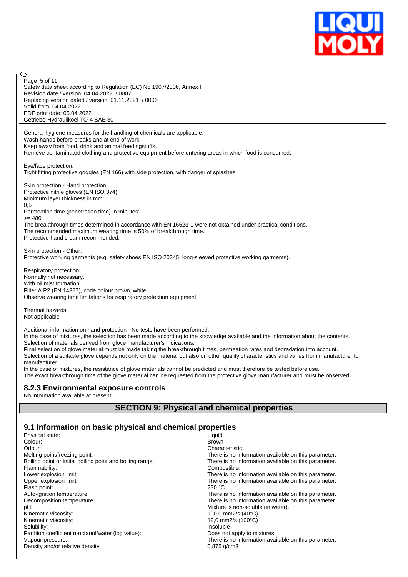

Safety data sheet according to Regulation (EC) No 1907/2006, Annex II Revision date / version: 04.04.2022 / 0007 Replacing version dated / version: 01.11.2021 / 0006 Valid from: 04.04.2022 PDF print date: 05.04.2022 Getriebe-Hydraulikoel TO-4 SAE 30 Page 5 of 11

General hygiene measures for the handling of chemicals are applicable. Wash hands before breaks and at end of work. Keep away from food, drink and animal feedingstuffs. Remove contaminated clothing and protective equipment before entering areas in which food is consumed.

Eye/face protection:

അ

Tight fitting protective goggles (EN 166) with side protection, with danger of splashes.

Skin protection - Hand protection: Protective nitrile gloves (EN ISO 374). Minimum layer thickness in mm: 0,5 Permeation time (penetration time) in minutes: >= 480

The breakthrough times determined in accordance with EN 16523-1 were not obtained under practical conditions. The recommended maximum wearing time is 50% of breakthrough time. Protective hand cream recommended.

Skin protection - Other: Protective working garments (e.g. safety shoes EN ISO 20345, long-sleeved protective working garments).

Respiratory protection: Normally not necessary. With oil mist formation: Filter A P2 (EN 14387), code colour brown, white Observe wearing time limitations for respiratory protection equipment.

Thermal hazards: Not applicable

Additional information on hand protection - No tests have been performed.

In the case of mixtures, the selection has been made according to the knowledge available and the information about the contents. Selection of materials derived from glove manufacturer's indications.

Final selection of glove material must be made taking the breakthrough times, permeation rates and degradation into account. Selection of a suitable glove depends not only on the material but also on other quality characteristics and varies from manufacturer to manufacturer.

In the case of mixtures, the resistance of glove materials cannot be predicted and must therefore be tested before use. The exact breakthrough time of the glove material can be requested from the protective glove manufacturer and must be observed.

#### **8.2.3 Environmental exposure controls**

No information available at present.

#### **SECTION 9: Physical and chemical properties**

#### **9.1 Information on basic physical and chemical properties**

| Liquid<br>Physical state:                                 |                                                      |
|-----------------------------------------------------------|------------------------------------------------------|
| Colour:<br><b>Brown</b>                                   |                                                      |
| Odour:                                                    | Characteristic                                       |
| Melting point/freezing point:                             | There is no information available on this parameter. |
| Boiling point or initial boiling point and boiling range: | There is no information available on this parameter. |
| Flammability:                                             | Combustible.                                         |
| Lower explosion limit:                                    | There is no information available on this parameter. |
| Upper explosion limit:                                    | There is no information available on this parameter. |
| Flash point:<br>230 °C                                    |                                                      |
| Auto-ignition temperature:                                | There is no information available on this parameter. |
| Decomposition temperature:                                | There is no information available on this parameter. |
| pH:                                                       | Mixture is non-soluble (in water).                   |
| Kinematic viscosity:                                      | 100,0 mm2/s $(40^{\circ}C)$                          |
| Kinematic viscosity:                                      | 12,0 mm2/s $(100^{\circ}C)$                          |
| Solubility:                                               | Insoluble                                            |
| Partition coefficient n-octanol/water (log value):        | Does not apply to mixtures.                          |
| Vapour pressure:                                          | There is no information available on this parameter. |
| Density and/or relative density:                          | $0.875$ g/cm3                                        |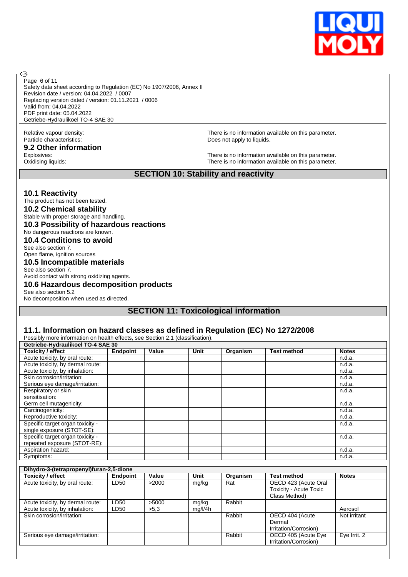

Safety data sheet according to Regulation (EC) No 1907/2006, Annex II Revision date / version: 04.04.2022 / 0007 Replacing version dated / version: 01.11.2021 / 0006 Valid from: 04.04.2022 PDF print date: 05.04.2022 Getriebe-Hydraulikoel TO-4 SAE 30 Page 6 of 11

# Particle characteristics: Does not apply to liquids.

**9.2 Other information**

®

Relative vapour density: There is no information available on this parameter.

Explosives:<br>
Cxidising liquids:<br>
Oxidising liquids:<br>
Oxidising liquids: There is no information available on this parameter.

#### **SECTION 10: Stability and reactivity**

#### **10.1 Reactivity**

The product has not been tested. **10.2 Chemical stability** Stable with proper storage and handling. **10.3 Possibility of hazardous reactions** No dangerous reactions are known. **10.4 Conditions to avoid** See also section 7. Open flame, ignition sources **10.5 Incompatible materials** See also section 7. Avoid contact with strong oxidizing agents.

#### **10.6 Hazardous decomposition products**

See also section 5.2 No decomposition when used as directed.

#### **SECTION 11: Toxicological information**

#### **11.1. Information on hazard classes as defined in Regulation (EC) No 1272/2008**

| Getriebe-Hydraulikoel TO-4 SAE 30 |                 |       |      |          |                    |              |
|-----------------------------------|-----------------|-------|------|----------|--------------------|--------------|
| <b>Toxicity / effect</b>          | <b>Endpoint</b> | Value | Unit | Organism | <b>Test method</b> | <b>Notes</b> |
| Acute toxicity, by oral route:    |                 |       |      |          |                    | n.d.a.       |
| Acute toxicity, by dermal route:  |                 |       |      |          |                    | n.d.a.       |
| Acute toxicity, by inhalation:    |                 |       |      |          |                    | n.d.a.       |
| Skin corrosion/irritation:        |                 |       |      |          |                    | n.d.a.       |
| Serious eye damage/irritation:    |                 |       |      |          |                    | n.d.a.       |
| Respiratory or skin               |                 |       |      |          |                    | n.d.a.       |
| sensitisation:                    |                 |       |      |          |                    |              |
| Germ cell mutagenicity:           |                 |       |      |          |                    | n.d.a.       |
| Carcinogenicity:                  |                 |       |      |          |                    | n.d.a.       |
| Reproductive toxicity:            |                 |       |      |          |                    | n.d.a.       |
| Specific target organ toxicity -  |                 |       |      |          |                    | n.d.a.       |
| single exposure (STOT-SE):        |                 |       |      |          |                    |              |
| Specific target organ toxicity -  |                 |       |      |          |                    | n.d.a.       |
| repeated exposure (STOT-RE):      |                 |       |      |          |                    |              |
| Aspiration hazard:                |                 |       |      |          |                    | n.d.a.       |
| Symptoms:                         |                 |       |      |          |                    | n.d.a.       |

| Dihydro-3-(tetrapropenyl)furan-2,5-dione |                 |       |         |          |                        |              |
|------------------------------------------|-----------------|-------|---------|----------|------------------------|--------------|
| <b>Toxicity / effect</b>                 | <b>Endpoint</b> | Value | Unit    | Organism | <b>Test method</b>     | <b>Notes</b> |
| Acute toxicity, by oral route:           | LD50            | >2000 | mg/kg   | Rat      | OECD 423 (Acute Oral   |              |
|                                          |                 |       |         |          | Toxicity - Acute Toxic |              |
|                                          |                 |       |         |          | Class Method)          |              |
| Acute toxicity, by dermal route:         | LD50            | >5000 | mg/kg   | Rabbit   |                        |              |
| Acute toxicity, by inhalation:           | LD50            | >5.3  | mg/l/4h |          |                        | Aerosol      |
| Skin corrosion/irritation:               |                 |       |         | Rabbit   | OECD 404 (Acute        | Not irritant |
|                                          |                 |       |         |          | Dermal                 |              |
|                                          |                 |       |         |          | Irritation/Corrosion)  |              |
| Serious eye damage/irritation:           |                 |       |         | Rabbit   | OECD 405 (Acute Eye    | Eye Irrit. 2 |
|                                          |                 |       |         |          | Irritation/Corrosion)  |              |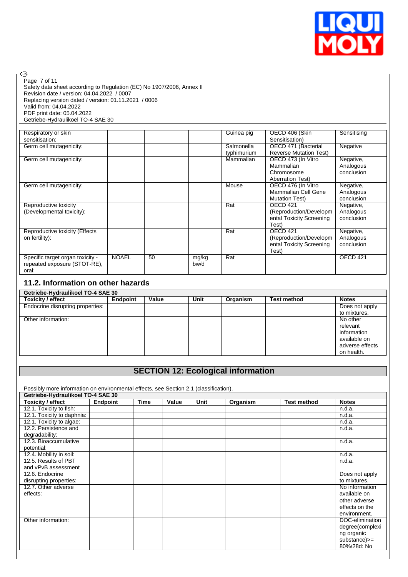

#### Page 7 of 11

 $\circledcirc$ 

Safety data sheet according to Regulation (EC) No 1907/2006, Annex II Revision date / version: 04.04.2022 / 0007 Replacing version dated / version: 01.11.2021 / 0006 Valid from: 04.04.2022 PDF print date: 05.04.2022 Getriebe-Hydraulikoel TO-4 SAE 30

| Respiratory or skin<br>sensitisation:                                     |              |    |               | Guinea pig                | OECD 406 (Skin<br>Sensitisation)                                                    | Sensitising                          |
|---------------------------------------------------------------------------|--------------|----|---------------|---------------------------|-------------------------------------------------------------------------------------|--------------------------------------|
| Germ cell mutagenicity:                                                   |              |    |               | Salmonella<br>typhimurium | OECD 471 (Bacterial<br><b>Reverse Mutation Test)</b>                                | Negative                             |
| Germ cell mutagenicity:                                                   |              |    |               | Mammalian                 | OECD 473 (In Vitro<br>Mammalian<br>Chromosome<br><b>Aberration Test)</b>            | Negative,<br>Analogous<br>conclusion |
| Germ cell mutagenicity:                                                   |              |    |               | Mouse                     | OECD 476 (In Vitro<br>Mammalian Cell Gene<br><b>Mutation Test)</b>                  | Negative,<br>Analogous<br>conclusion |
| Reproductive toxicity<br>(Developmental toxicity):                        |              |    |               | Rat                       | OECD <sub>421</sub><br>(Reproduction/Developm)<br>ental Toxicity Screening<br>Test) | Negative,<br>Analogous<br>conclusion |
| Reproductive toxicity (Effects<br>on fertility):                          |              |    |               | Rat                       | OECD <sub>421</sub><br>(Reproduction/Developm)<br>ental Toxicity Screening<br>Test) | Negative,<br>Analogous<br>conclusion |
| Specific target organ toxicity -<br>repeated exposure (STOT-RE),<br>oral: | <b>NOAEL</b> | 50 | mg/kg<br>bw/d | Rat                       |                                                                                     | OECD 421                             |

# **11.2. Information on other hazards**

| Getriebe-Hydraulikoel TO-4 SAE 30 |                 |       |      |          |                    |                 |
|-----------------------------------|-----------------|-------|------|----------|--------------------|-----------------|
| <b>Toxicity / effect</b>          | <b>Endpoint</b> | Value | Unit | Organism | <b>Test method</b> | <b>Notes</b>    |
| Endocrine disrupting properties:  |                 |       |      |          |                    | Does not apply  |
|                                   |                 |       |      |          |                    | to mixtures.    |
| Other information:                |                 |       |      |          |                    | No other        |
|                                   |                 |       |      |          |                    | relevant        |
|                                   |                 |       |      |          |                    | information     |
|                                   |                 |       |      |          |                    | available on    |
|                                   |                 |       |      |          |                    | adverse effects |
|                                   |                 |       |      |          |                    | on health.      |

# **SECTION 12: Ecological information**

Possibly more information on environmental effects, see Section 2.1 (classification).

| Getriebe-Hydraulikoel TO-4 SAE 30 |                 |             |       |      |          |                    |                 |
|-----------------------------------|-----------------|-------------|-------|------|----------|--------------------|-----------------|
| Toxicity / effect                 | <b>Endpoint</b> | <b>Time</b> | Value | Unit | Organism | <b>Test method</b> | <b>Notes</b>    |
| 12.1. Toxicity to fish:           |                 |             |       |      |          |                    | n.d.a.          |
| 12.1. Toxicity to daphnia:        |                 |             |       |      |          |                    | n.d.a.          |
| 12.1. Toxicity to algae:          |                 |             |       |      |          |                    | n.d.a.          |
| 12.2. Persistence and             |                 |             |       |      |          |                    | n.d.a.          |
| degradability:                    |                 |             |       |      |          |                    |                 |
| 12.3. Bioaccumulative             |                 |             |       |      |          |                    | n.d.a.          |
| potential:                        |                 |             |       |      |          |                    |                 |
| 12.4. Mobility in soil:           |                 |             |       |      |          |                    | n.d.a.          |
| 12.5. Results of PBT              |                 |             |       |      |          |                    | n.d.a.          |
| and vPvB assessment               |                 |             |       |      |          |                    |                 |
| 12.6. Endocrine                   |                 |             |       |      |          |                    | Does not apply  |
| disrupting properties:            |                 |             |       |      |          |                    | to mixtures.    |
| 12.7. Other adverse               |                 |             |       |      |          |                    | No information  |
| effects:                          |                 |             |       |      |          |                    | available on    |
|                                   |                 |             |       |      |          |                    | other adverse   |
|                                   |                 |             |       |      |          |                    | effects on the  |
|                                   |                 |             |       |      |          |                    | environment.    |
| Other information:                |                 |             |       |      |          |                    | DOC-elimination |
|                                   |                 |             |       |      |          |                    | degree(complexi |
|                                   |                 |             |       |      |          |                    | ng organic      |
|                                   |                 |             |       |      |          |                    | substance)>=    |
|                                   |                 |             |       |      |          |                    | 80%/28d: No     |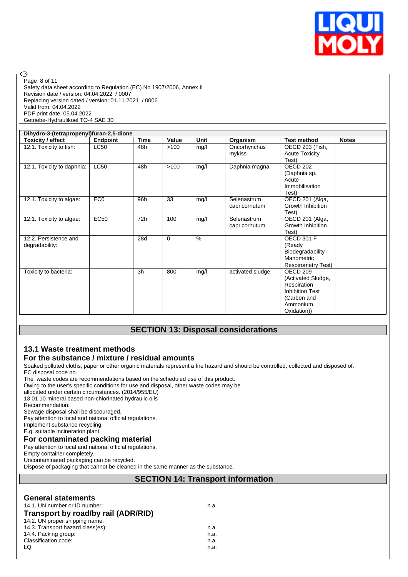

Safety data sheet according to Regulation (EC) No 1907/2006, Annex II Revision date / version: 04.04.2022 / 0007 Replacing version dated / version: 01.11.2021 / 0006 Valid from: 04.04.2022 PDF print date: 05.04.2022 Getriebe-Hydraulikoel TO-4 SAE 30 Page 8 of 11

| Dihydro-3-(tetrapropenyl)furan-2,5-dione |                 |      |          |      |                  |                           |              |
|------------------------------------------|-----------------|------|----------|------|------------------|---------------------------|--------------|
| Toxicity / effect                        | Endpoint        | Time | Value    | Unit | Organism         | <b>Test method</b>        | <b>Notes</b> |
| 12.1. Toxicity to fish:                  | <b>LC50</b>     | 48h  | >100     | mg/l | Oncorhynchus     | OECD 203 (Fish,           |              |
|                                          |                 |      |          |      | mykiss           | <b>Acute Toxicity</b>     |              |
|                                          |                 |      |          |      |                  | Test)                     |              |
| 12.1. Toxicity to daphnia:               | <b>LC50</b>     | 48h  | >100     | mg/l | Daphnia magna    | OECD 202                  |              |
|                                          |                 |      |          |      |                  | (Daphnia sp.              |              |
|                                          |                 |      |          |      |                  | Acute                     |              |
|                                          |                 |      |          |      |                  | Immobilisation            |              |
|                                          |                 |      |          |      |                  | Test)                     |              |
| 12.1. Toxicity to algae:                 | EC <sub>0</sub> | 96h  | 33       | mg/l | Selenastrum      | OECD 201 (Alga,           |              |
|                                          |                 |      |          |      | capricornutum    | Growth Inhibition         |              |
|                                          |                 |      |          |      |                  | Test)                     |              |
| 12.1. Toxicity to algae:                 | <b>EC50</b>     | 72h  | 100      | mg/l | Selenastrum      | OECD 201 (Alga,           |              |
|                                          |                 |      |          |      | capricornutum    | Growth Inhibition         |              |
|                                          |                 |      |          |      |                  | Test)                     |              |
| 12.2. Persistence and                    |                 | 28d  | $\Omega$ | $\%$ |                  | <b>OECD 301 F</b>         |              |
| degradability:                           |                 |      |          |      |                  | (Ready                    |              |
|                                          |                 |      |          |      |                  | Biodegradability -        |              |
|                                          |                 |      |          |      |                  | Manometric                |              |
|                                          |                 |      |          |      |                  | <b>Respirometry Test)</b> |              |
| Toxicity to bacteria:                    |                 | 3h   | 800      | mg/l | activated sludge | <b>OECD 209</b>           |              |
|                                          |                 |      |          |      |                  | (Activated Sludge,        |              |
|                                          |                 |      |          |      |                  | Respiration               |              |
|                                          |                 |      |          |      |                  | <b>Inhibition Test</b>    |              |
|                                          |                 |      |          |      |                  | (Carbon and               |              |
|                                          |                 |      |          |      |                  | Ammonium                  |              |
|                                          |                 |      |          |      |                  | Oxidation))               |              |

# **SECTION 13: Disposal considerations**

# **13.1 Waste treatment methods**

#### **For the substance / mixture / residual amounts**

Soaked polluted cloths, paper or other organic materials represent a fire hazard and should be controlled, collected and disposed of. EC disposal code no.:

The waste codes are recommendations based on the scheduled use of this product.

Owing to the user's specific conditions for use and disposal, other waste codes may be

allocated under certain circumstances. (2014/955/EU)

13 01 10 mineral based non-chlorinated hydraulic oils

Recommendation:

®

Sewage disposal shall be discouraged.

Pay attention to local and national official regulations.

Implement substance recycling. E.g. suitable incineration plant.

# **For contaminated packing material**

Pay attention to local and national official regulations.

Empty container completely.

Uncontaminated packaging can be recycled.

Dispose of packaging that cannot be cleaned in the same manner as the substance.

#### **SECTION 14: Transport information**

| 14.3. Transport hazard class(es):<br>n.a.<br>n.a.<br>Classification code:<br>n.a. | <b>General statements</b><br>14.1. UN number or ID number:<br>Transport by road/by rail (ADR/RID) | n.a. |
|-----------------------------------------------------------------------------------|---------------------------------------------------------------------------------------------------|------|
|                                                                                   | 14.2. UN proper shipping name:                                                                    |      |
|                                                                                   | 14.4. Packing group:                                                                              |      |
|                                                                                   | LQ:                                                                                               | n.a. |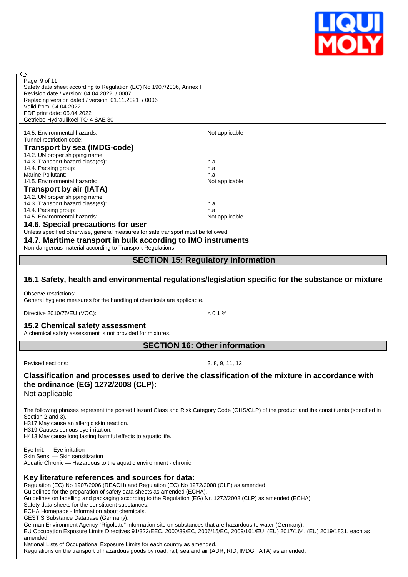

| @ි                                                                                                                                                                                       |                                                                                                                                            |  |
|------------------------------------------------------------------------------------------------------------------------------------------------------------------------------------------|--------------------------------------------------------------------------------------------------------------------------------------------|--|
| Page 9 of 11                                                                                                                                                                             |                                                                                                                                            |  |
| Safety data sheet according to Regulation (EC) No 1907/2006, Annex II                                                                                                                    |                                                                                                                                            |  |
| Revision date / version: 04.04.2022 / 0007                                                                                                                                               |                                                                                                                                            |  |
| Replacing version dated / version: 01.11.2021 / 0006                                                                                                                                     |                                                                                                                                            |  |
| Valid from: 04.04.2022                                                                                                                                                                   |                                                                                                                                            |  |
| PDF print date: 05.04.2022<br>Getriebe-Hydraulikoel TO-4 SAE 30                                                                                                                          |                                                                                                                                            |  |
|                                                                                                                                                                                          |                                                                                                                                            |  |
| 14.5. Environmental hazards:                                                                                                                                                             | Not applicable                                                                                                                             |  |
| Tunnel restriction code:                                                                                                                                                                 |                                                                                                                                            |  |
| Transport by sea (IMDG-code)                                                                                                                                                             |                                                                                                                                            |  |
| 14.2. UN proper shipping name:                                                                                                                                                           |                                                                                                                                            |  |
| 14.3. Transport hazard class(es):                                                                                                                                                        | n.a.                                                                                                                                       |  |
| 14.4. Packing group:                                                                                                                                                                     | n.a.                                                                                                                                       |  |
| Marine Pollutant:<br>14.5. Environmental hazards:                                                                                                                                        | n.a<br>Not applicable                                                                                                                      |  |
|                                                                                                                                                                                          |                                                                                                                                            |  |
| <b>Transport by air (IATA)</b><br>14.2. UN proper shipping name:                                                                                                                         |                                                                                                                                            |  |
| 14.3. Transport hazard class(es):                                                                                                                                                        | n.a.                                                                                                                                       |  |
| 14.4. Packing group:                                                                                                                                                                     | n.a.                                                                                                                                       |  |
| 14.5. Environmental hazards:                                                                                                                                                             | Not applicable                                                                                                                             |  |
| 14.6. Special precautions for user                                                                                                                                                       |                                                                                                                                            |  |
| Unless specified otherwise, general measures for safe transport must be followed.                                                                                                        |                                                                                                                                            |  |
| 14.7. Maritime transport in bulk according to IMO instruments                                                                                                                            |                                                                                                                                            |  |
| Non-dangerous material according to Transport Regulations.                                                                                                                               |                                                                                                                                            |  |
|                                                                                                                                                                                          |                                                                                                                                            |  |
|                                                                                                                                                                                          | <b>SECTION 15: Regulatory information</b>                                                                                                  |  |
|                                                                                                                                                                                          |                                                                                                                                            |  |
|                                                                                                                                                                                          |                                                                                                                                            |  |
|                                                                                                                                                                                          | 15.1 Safety, health and environmental regulations/legislation specific for the substance or mixture                                        |  |
| Observe restrictions:                                                                                                                                                                    |                                                                                                                                            |  |
| General hygiene measures for the handling of chemicals are applicable.                                                                                                                   |                                                                                                                                            |  |
|                                                                                                                                                                                          |                                                                                                                                            |  |
| Directive 2010/75/EU (VOC):                                                                                                                                                              | < 0.1 %                                                                                                                                    |  |
| 15.2 Chemical safety assessment                                                                                                                                                          |                                                                                                                                            |  |
| A chemical safety assessment is not provided for mixtures.                                                                                                                               |                                                                                                                                            |  |
|                                                                                                                                                                                          |                                                                                                                                            |  |
|                                                                                                                                                                                          | <b>SECTION 16: Other information</b>                                                                                                       |  |
| Revised sections:                                                                                                                                                                        |                                                                                                                                            |  |
|                                                                                                                                                                                          | 3, 8, 9, 11, 12                                                                                                                            |  |
| Classification and processes used to derive the classification of the mixture in accordance with                                                                                         |                                                                                                                                            |  |
| the ordinance (EG) 1272/2008 (CLP):                                                                                                                                                      |                                                                                                                                            |  |
|                                                                                                                                                                                          |                                                                                                                                            |  |
| Not applicable                                                                                                                                                                           |                                                                                                                                            |  |
|                                                                                                                                                                                          |                                                                                                                                            |  |
| Section 2 and 3).                                                                                                                                                                        | The following phrases represent the posted Hazard Class and Risk Category Code (GHS/CLP) of the product and the constituents (specified in |  |
| H317 May cause an allergic skin reaction.                                                                                                                                                |                                                                                                                                            |  |
| H319 Causes serious eye irritation.                                                                                                                                                      |                                                                                                                                            |  |
| H413 May cause long lasting harmful effects to aquatic life.                                                                                                                             |                                                                                                                                            |  |
|                                                                                                                                                                                          |                                                                                                                                            |  |
| Eye Irrit. - Eye irritation<br>Skin Sens. - Skin sensitization                                                                                                                           |                                                                                                                                            |  |
| Aquatic Chronic - Hazardous to the aquatic environment - chronic                                                                                                                         |                                                                                                                                            |  |
|                                                                                                                                                                                          |                                                                                                                                            |  |
| Key literature references and sources for data:                                                                                                                                          |                                                                                                                                            |  |
| Regulation (EC) No 1907/2006 (REACH) and Regulation (EC) No 1272/2008 (CLP) as amended.                                                                                                  |                                                                                                                                            |  |
| Guidelines for the preparation of safety data sheets as amended (ECHA).<br>Guidelines on labelling and packaging according to the Regulation (EG) Nr. 1272/2008 (CLP) as amended (ECHA). |                                                                                                                                            |  |

ECHA Homepage - Information about chemicals.

GESTIS Substance Database (Germany).

German Environment Agency "Rigoletto" information site on substances that are hazardous to water (Germany).

EU Occupation Exposure Limits Directives 91/322/EEC, 2000/39/EC, 2006/15/EC, 2009/161/EU, (EU) 2017/164, (EU) 2019/1831, each as amended.

National Lists of Occupational Exposure Limits for each country as amended. Regulations on the transport of hazardous goods by road, rail, sea and air (ADR, RID, IMDG, IATA) as amended.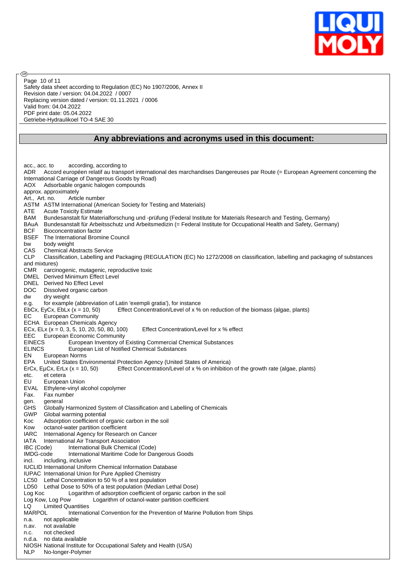

Safety data sheet according to Regulation (EC) No 1907/2006, Annex II Revision date / version: 04.04.2022 / 0007 Replacing version dated / version: 01.11.2021 / 0006 Valid from: 04.04.2022 PDF print date: 05.04.2022 Getriebe-Hydraulikoel TO-4 SAE 30 Page 10 of 11

൹

#### **Any abbreviations and acronyms used in this document:**

acc., acc. to according, according to ADR Accord européen relatif au transport international des marchandises Dangereuses par Route (= European Agreement concerning the International Carriage of Dangerous Goods by Road) AOX Adsorbable organic halogen compounds approx. approximately Art., Art. no. Article number ASTM ASTM International (American Society for Testing and Materials) ATE Acute Toxicity Estimate BAM Bundesanstalt für Materialforschung und -prüfung (Federal Institute for Materials Research and Testing, Germany) BAuA Bundesanstalt für Arbeitsschutz und Arbeitsmedizin (= Federal Institute for Occupational Health and Safety, Germany) BCF Bioconcentration factor BSEF The International Bromine Council bw body weight CAS Chemical Abstracts Service CLP Classification, Labelling and Packaging (REGULATION (EC) No 1272/2008 on classification, labelling and packaging of substances and mixtures) CMR carcinogenic, mutagenic, reproductive toxic DMEL Derived Minimum Effect Level DNEL Derived No Effect Level DOC Dissolved organic carbon<br>dw dry weight dry weight e.g. for example (abbreviation of Latin 'exempli gratia'), for instance<br>EbCx, EyCx, EbLx (x = 10, 50) Effect Concentration/Level of x % Effect Concentration/Level of x % on reduction of the biomass (algae, plants) EC European Community ECHA European Chemicals Agency ECx, ELx ( $x = 0, 3, 5, 10, 20, 50, 80, 100$ ) Effect Concentration/Level for x % effect EEC European Economic Community<br>EINECS European Inventory of European Inventory of Existing Commercial Chemical Substances ELINCS European List of Notified Chemical Substances EN European Norms EPA United States Environmental Protection Agency (United States of America) ErCx, EµCx, ErLx (x = 10, 50) Effect Concentration/Level of x % on inhibition of the growth rate (algae, plants) etc. et cetera EU European Union EVAL Ethylene-vinyl alcohol copolymer Fax. Fax number gen. general<br>GHS Globally Globally Harmonized System of Classification and Labelling of Chemicals GWP Global warming potential Koc Adsorption coefficient of organic carbon in the soil Kow octanol-water partition coefficient IARC International Agency for Research on Cancer IATA International Air Transport Association IBC (Code) International Bulk Chemical (Code) IMDG-code International Maritime Code for Dangerous Goods incl. including, inclusive IUCLID International Uniform Chemical Information Database IUPAC International Union for Pure Applied Chemistry LC50 Lethal Concentration to 50 % of a test population LD50 Lethal Dose to 50% of a test population (Median Lethal Dose) Log Koc Logarithm of adsorption coefficient of organic carbon in the soil Log Kow, Log Pow Logarithm of octanol-water partition coefficient LQ Limited Quantities MARPOL International Convention for the Prevention of Marine Pollution from Ships n.a. not applicable n.av. not available n.c. not checked n.d.a. no data available NIOSH National Institute for Occupational Safety and Health (USA) NLP No-longer-Polymer